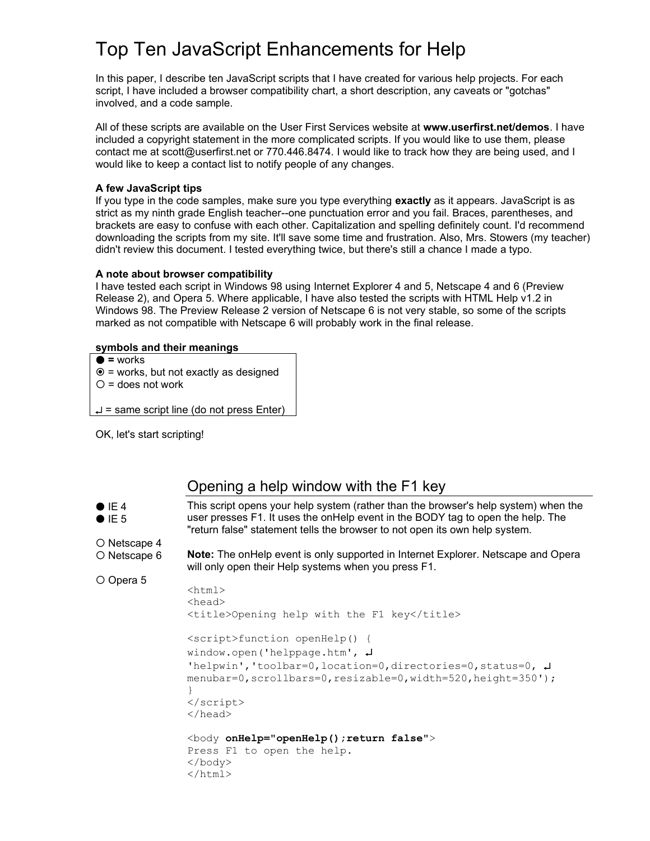# Top Ten JavaScript Enhancements for Help

In this paper, I describe ten JavaScript scripts that I have created for various help projects. For each script, I have included a browser compatibility chart, a short description, any caveats or "gotchas" involved, and a code sample.

All of these scripts are available on the User First Services website at **www.userfirst.net/demos**. I have included a copyright statement in the more complicated scripts. If you would like to use them, please contact me at scott@userfirst.net or 770.446.8474. I would like to track how they are being used, and I would like to keep a contact list to notify people of any changes.

#### **A few JavaScript tips**

If you type in the code samples, make sure you type everything **exactly** as it appears. JavaScript is as strict as my ninth grade English teacher--one punctuation error and you fail. Braces, parentheses, and brackets are easy to confuse with each other. Capitalization and spelling definitely count. I'd recommend downloading the scripts from my site. It'll save some time and frustration. Also, Mrs. Stowers (my teacher) didn't review this document. I tested everything twice, but there's still a chance I made a typo.

#### **A note about browser compatibility**

I have tested each script in Windows 98 using Internet Explorer 4 and 5, Netscape 4 and 6 (Preview Release 2), and Opera 5. Where applicable, I have also tested the scripts with HTML Help v1.2 in Windows 98. The Preview Release 2 version of Netscape 6 is not very stable, so some of the scripts marked as not compatible with Netscape 6 will probably work in the final release.

#### **symbols and their meanings**

**=** works

O Opera 5

- $\odot$  = works, but not exactly as designed
- $O =$  does not work

 $\downarrow$  = same script line (do not press Enter)

OK, let's start scripting!

# Opening a help window with the F1 key

 $\bullet$  IE 4  $I = 5$ O Netscape 4 O Netscape 6 This script opens your help system (rather than the browser's help system) when the user presses F1. It uses the onHelp event in the BODY tag to open the help. The "return false" statement tells the browser to not open its own help system. **Note:** The onHelp event is only supported in Internet Explorer. Netscape and Opera

will only open their Help systems when you press F1.

```
<h+ml><head>
<title>Opening help with the F1 key</title>
<script>function openHelp() {
window.open('helppage.htm', 
'helpwin','toolbar=0,location=0,directories=0,status=0, 
menubar=0,scrollbars=0,resizable=0,width=520,height=350');
}
</script>
</head>
<body onHelp="openHelp();return false">
Press F1 to open the help.
</body>
</html>
```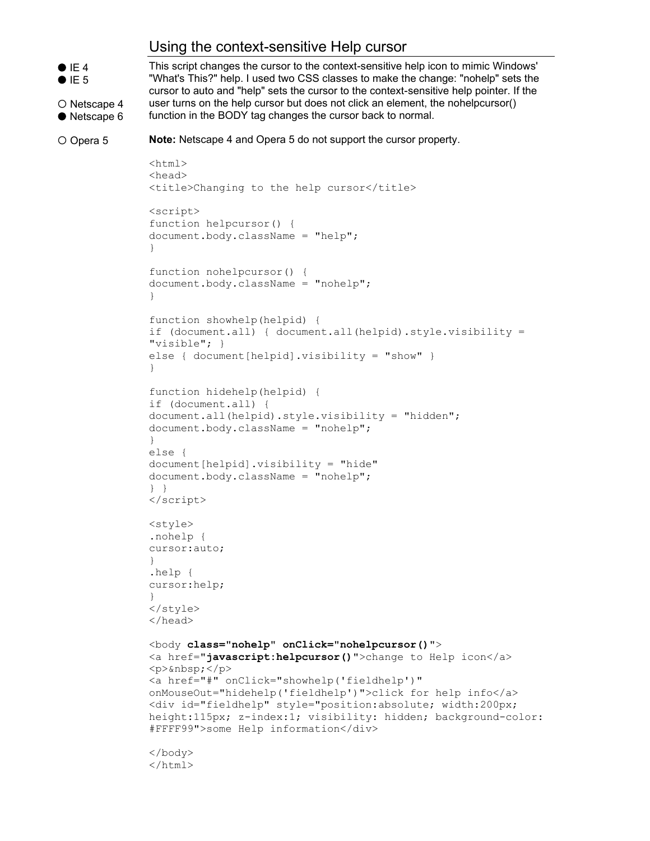### Using the context-sensitive Help cursor



O Netscape 4

● Netscape 6

This script changes the cursor to the context-sensitive help icon to mimic Windows' "What's This?" help. I used two CSS classes to make the change: "nohelp" sets the cursor to auto and "help" sets the cursor to the context-sensitive help pointer. If the user turns on the help cursor but does not click an element, the nohelpcursor() function in the BODY tag changes the cursor back to normal.

O Opera 5

**Note:** Netscape 4 and Opera 5 do not support the cursor property.

```
<html>
<head>
<title>Changing to the help cursor</title>
<script>
function helpcursor() {
document.body.className = "help";
}
function nohelpcursor() {
document.body.className = "nohelp";
}
function showhelp(helpid) {
if (document.all) { document.all(helpid).style.visibility = 
"visible"; }
else { document[helpid].visibility = "show" }
}
function hidehelp(helpid) {
if (document.all) {
document.all(helpid).style.visibility = "hidden";
document.body.className = "nohelp";
}
else { 
document[helpid].visibility = "hide" 
document.body.className = "nohelp";
} }
</script>
<style>
.nohelp {
cursor:auto;
}
.help {
cursor:help;
}
</style>
</head>
<body class="nohelp" onClick="nohelpcursor()">
<a href="javascript:helpcursor()">change to Help icon</a>
p> \langle p \rangle<a href="#" onClick="showhelp('fieldhelp')" 
onMouseOut="hidehelp('fieldhelp')">click for help info</a>
<div id="fieldhelp" style="position:absolute; width:200px; 
height:115px; z-index:1; visibility: hidden; background-color: 
#FFFF99">some Help information</div>
</body>
</html>
```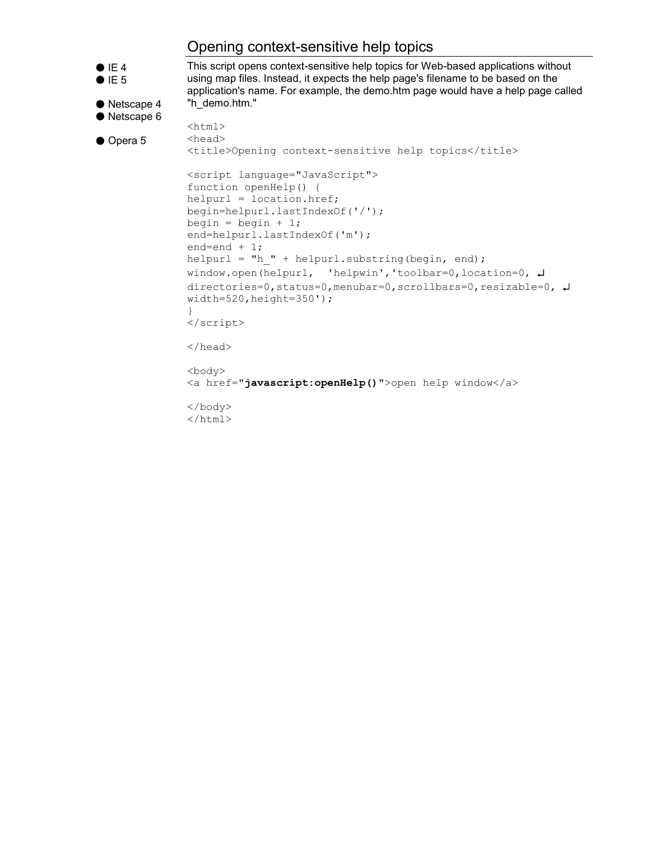## Opening context-sensitive help topics

```
\bullet IE 4
\bullet IE 5
● Netscape 4
● Netscape 6
● Opera 5
                This script opens context-sensitive help topics for Web-based applications without 
                using map files. Instead, it expects the help page's filename to be based on the 
                application's name. For example, the demo.htm page would have a help page called 
                "h_demo.htm."
                <html><head>
                <title>Opening context-sensitive help topics</title>
                <script language="JavaScript">
                function openHelp() {
                helpurl = location.href;
                begin=helpurl.lastIndexOf('/');
                begin = begin + 1;
                end=helpurl.lastIndexOf('m');
                end=end + 1;
                helpurl = "h " + helpurl.substring(begin, end);
                window.open(helpurl, 'helpwin','toolbar=0,location=0, 
                directories=0,status=0,menubar=0,scrollbars=0,resizable=0, \downarrowwidth=520, height=350');
                }
                </script>
                </head>
                <body>
                <a href="javascript:openHelp()">open help window</a>
                </body>
                </html>
```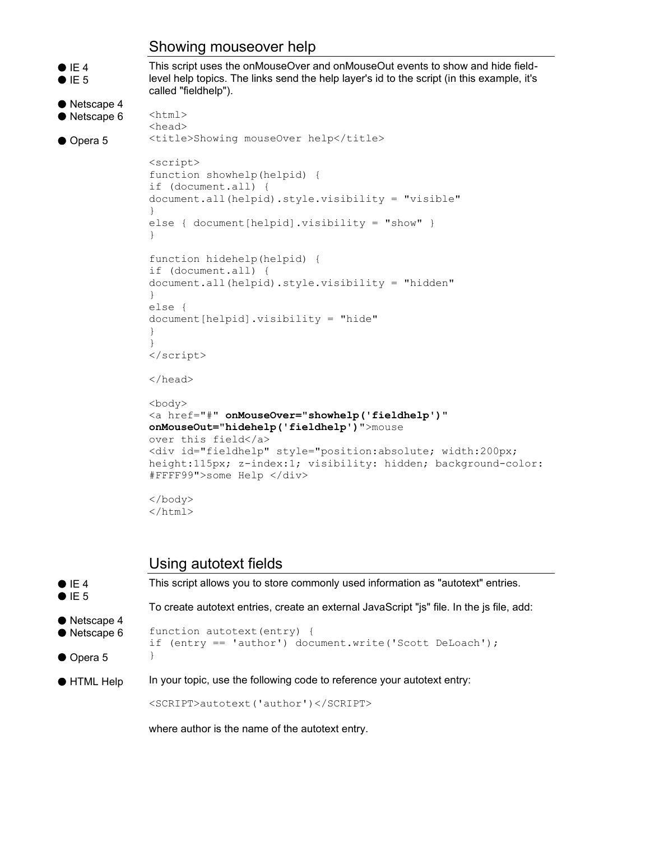### Showing mouseover help

```
\bullet IE 4
\bullet IE 5
● Netscape 4
● Netscape 6
● Opera 5
                This script uses the onMouseOver and onMouseOut events to show and hide field-
                level help topics. The links send the help layer's id to the script (in this example, it's 
                called "fieldhelp"). 
               <html>
                <head>
                <title>Showing mouseOver help</title>
                <script>
                function showhelp(helpid) {
                if (document.all) { 
                document.all(helpid).style.visibility = "visible" 
                }
                else { document[helpid].visibility = "show" }
                }
                function hidehelp(helpid) {
                if (document.all) { 
                document.all(helpid).style.visibility = "hidden"
                }
                else { 
                document[helpid].visibility = "hide" 
                }
                }
                </script>
                </head>
                <body>
                <a href="#" onMouseOver="showhelp('fieldhelp')" 
                onMouseOut="hidehelp('fieldhelp')">mouse 
                over this field</a> 
                <div id="fieldhelp" style="position:absolute; width:200px; 
                height:115px; z-index:1; visibility: hidden; background-color: 
                #FFFF99">some Help </div>
                </body>
                </html>
```
### Using autotext fields

| $\bullet$ IE 4<br>$\bullet$ IE 5 | This script allows you to store commonly used information as "autotext" entries.          |
|----------------------------------|-------------------------------------------------------------------------------------------|
| $\bullet$ Netscape 4             | To create autotext entries, create an external JavaScript "js" file. In the js file, add: |
| • Netscape 6                     | function autotext (entry) {<br>if (entry $==$ 'author') document.write('Scott DeLoach');  |
| $\bullet$ Opera 5                |                                                                                           |
| $\bullet$ HTML Help              | In your topic, use the following code to reference your autotext entry:                   |
|                                  | <script>autotext('author')</script>                                                       |
|                                  |                                                                                           |

where author is the name of the autotext entry.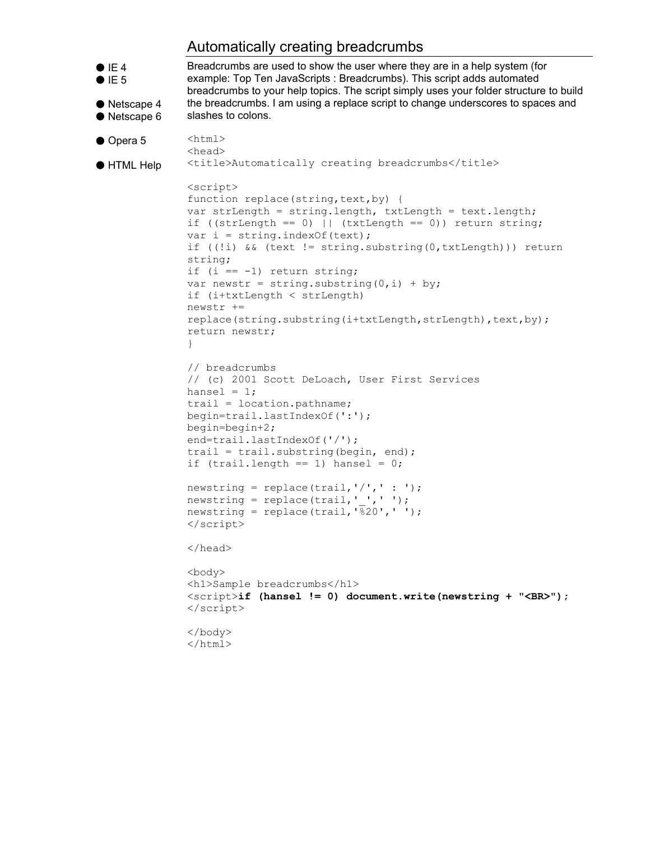### Automatically creating breadcrumbs

```
\bullet IE 4
I = 5● Netscape 4
● Netscape 6
● Opera 5
● HTML Help
               Breadcrumbs are used to show the user where they are in a help system (for 
               example: Top Ten JavaScripts : Breadcrumbs). This script adds automated 
               breadcrumbs to your help topics. The script simply uses your folder structure to build 
               the breadcrumbs. I am using a replace script to change underscores to spaces and 
               slashes to colons.
               <html>
               <head>
               <title>Automatically creating breadcrumbs</title>
               <script>
               function replace(string, text, by) {
               var strLength = string.length, txtLength = text.length;
               if ((strLength == 0) || (txtLength == 0)) return string;
               var i = string. index Of (text);
               if ((!i) && (text != string.substring(0,txtLength))) return 
               string;
               if (i == -1) return string;
               var newstr = string.substring(0, i) + by;
               if (i+txtLength < strLength)
               newstr += 
               replace(string.substring(i+txtLength,strLength),text,by);
               return newstr; 
               }
               // breadcrumbs 
               // (c) 2001 Scott DeLoach, User First Services
               hansel = 1;trail = location.pathname; 
               begin=trail.lastIndexOf(':');
               begin=begin+2;
               end=trail.lastIndexOf('/');
               trail = trail.substring(begin, end);
               if (trail.length == 1) hansel = 0;
               newstring = replace(trail,'/', ': ');
               newstring = replace(trail,' ',' ');
               newstring = replace(trail, \frac{1}{820}', ' ');
               </script>
               </head>
               <body>
               <h1>Sample breadcrumbs</h1>
               <script>if (hansel != 0) document.write(newstring + "<BR>");
               </script>
               </body>
               </html>
```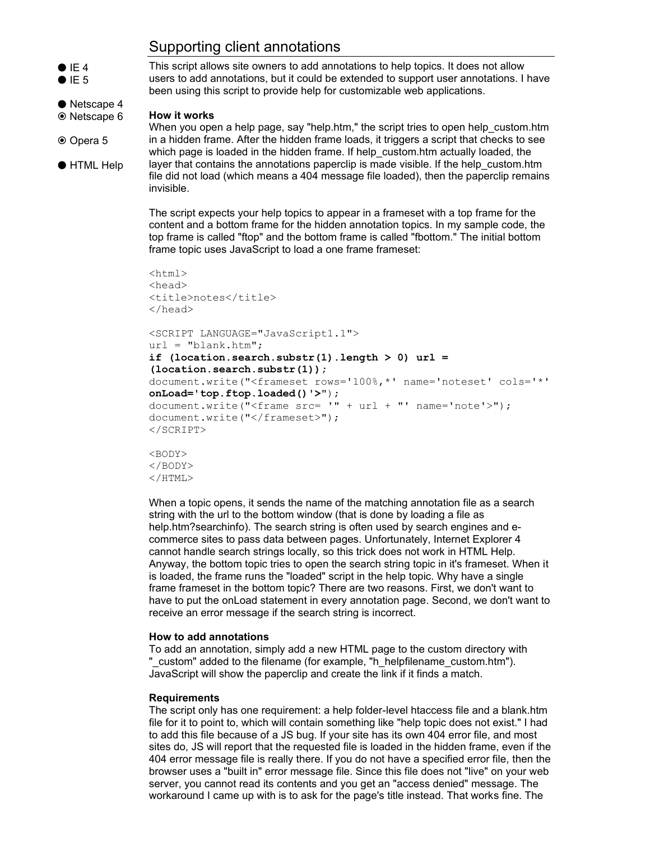## Supporting client annotations

 $\bullet$  IE 4  $I = 5$ This script allows site owners to add annotations to help topics. It does not allow users to add annotations, but it could be extended to support user annotations. I have been using this script to provide help for customizable web applications.

#### **How it works**

● Netscape 4 <sup>⊙</sup> Netscape 6

HTML Help

<sup>⊙</sup> Opera 5

When you open a help page, say "help.htm," the script tries to open help custom.htm in a hidden frame. After the hidden frame loads, it triggers a script that checks to see which page is loaded in the hidden frame. If help\_custom.htm actually loaded, the layer that contains the annotations paperclip is made visible. If the help\_custom.htm file did not load (which means a 404 message file loaded), then the paperclip remains invisible.

The script expects your help topics to appear in a frameset with a top frame for the content and a bottom frame for the hidden annotation topics. In my sample code, the top frame is called "ftop" and the bottom frame is called "fbottom." The initial bottom frame topic uses JavaScript to load a one frame frameset:

```
<html><head>
<title>notes</title>
</head>
<SCRIPT LANGUAGE="JavaScript1.1">
url = "blank.htm";if (location.search.substr(1).length > 0) url = 
(location.search.substr(1));
document.write("<frameset rows='100%,*' name='noteset' cols='*' 
onLoad='top.ftop.loaded()'>"); 
document.write("<frame src = " + url + "' name='note');
document.write("</frameset>");
</SCRIPT>
```
<BODY> </BODY>  $<$ /HTML $>$ 

When a topic opens, it sends the name of the matching annotation file as a search string with the url to the bottom window (that is done by loading a file as help.htm?searchinfo). The search string is often used by search engines and ecommerce sites to pass data between pages. Unfortunately, Internet Explorer 4 cannot handle search strings locally, so this trick does not work in HTML Help. Anyway, the bottom topic tries to open the search string topic in it's frameset. When it is loaded, the frame runs the "loaded" script in the help topic. Why have a single frame frameset in the bottom topic? There are two reasons. First, we don't want to have to put the onLoad statement in every annotation page. Second, we don't want to receive an error message if the search string is incorrect.

#### **How to add annotations**

To add an annotation, simply add a new HTML page to the custom directory with "\_custom" added to the filename (for example, "h\_helpfilename\_custom.htm"). JavaScript will show the paperclip and create the link if it finds a match.

#### **Requirements**

The script only has one requirement: a help folder-level htaccess file and a blank.htm file for it to point to, which will contain something like "help topic does not exist." I had to add this file because of a JS bug. If your site has its own 404 error file, and most sites do, JS will report that the requested file is loaded in the hidden frame, even if the 404 error message file is really there. If you do not have a specified error file, then the browser uses a "built in" error message file. Since this file does not "live" on your web server, you cannot read its contents and you get an "access denied" message. The workaround I came up with is to ask for the page's title instead. That works fine. The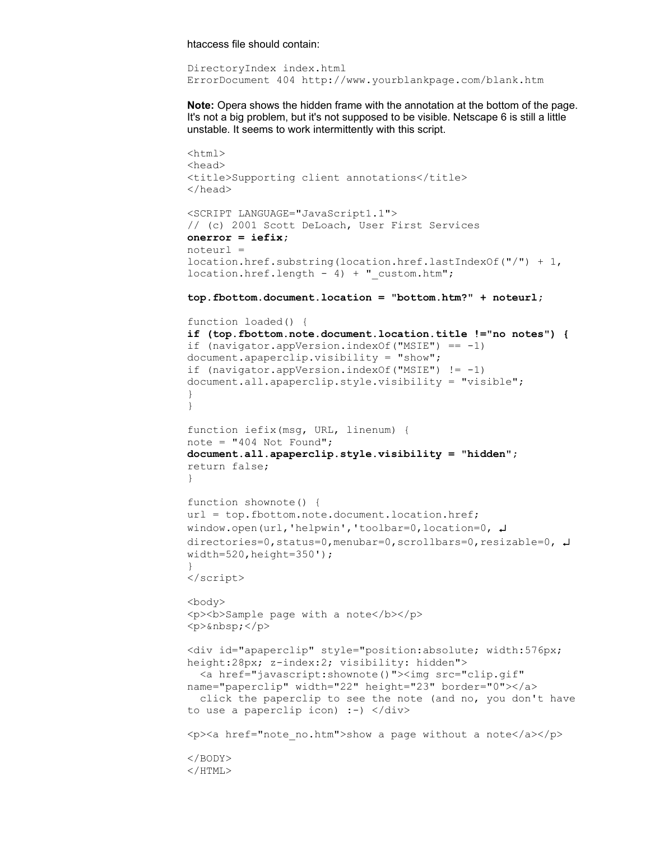htaccess file should contain:

DirectoryIndex index.html ErrorDocument 404 http://www.yourblankpage.com/blank.htm

**Note:** Opera shows the hidden frame with the annotation at the bottom of the page. It's not a big problem, but it's not supposed to be visible. Netscape 6 is still a little unstable. It seems to work intermittently with this script.

```
<html>
<head>
<title>Supporting client annotations</title>
</head>
<SCRIPT LANGUAGE="JavaScript1.1">
// (c) 2001 Scott DeLoach, User First Services 
onerror = iefix;
noteurl = 
location.href.substring(location.href.lastIndexOf("/") + 1, 
location.href.length - 4) + "custom.htm";top.fbottom.document.location = "bottom.htm?" + noteurl;
function loaded() {
if (top.fbottom.note.document.location.title !="no notes") {
if (navigator.appVersion.indexOf("MSIE") == -1)
document.apaperclip.visibility = "show";
if (navigator.appVersion.indexOf("MSIE") != -1) 
document.all.apaperclip.style.visibility = "visible";
}
}
function iefix(msg, URL, linenum) {
note = "404 Not Found";
document.all.apaperclip.style.visibility = "hidden";
return false;
}
function shownote() {
url = top.fbottom.note.document.location.href;
window.open(url,'helpwin','toolbar=0,location=0, \downarrowdirectories=0,status=0,menubar=0,scrollbars=0,resizable=0, \downarrowwidth=520, height=350');
}
</script>
<body>
<p>>>Sample page with a note</b>>>>>>>
<p> </p><div id="apaperclip" style="position:absolute; width:576px; 
height:28px; z-index:2; visibility: hidden"> 
  <a href="javascript:shownote()"><img src="clip.gif" 
name="paperclip" width="22" height="23" border="0"></a> 
  click the paperclip to see the note (and no, you don't have 
to use a paperclip icon) :-) </div>
\langle p \rangle<a href="note no.htm">show a page without a note</a>>\langle p \rangle</BODY>
</HTML>
```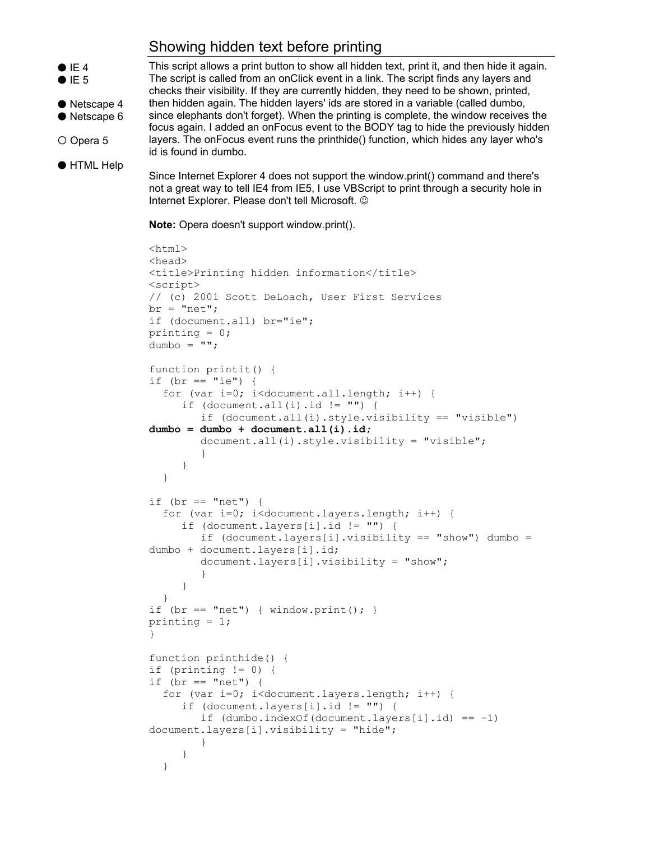# Showing hidden text before printing



O Opera 5

● HTML Help

This script allows a print button to show all hidden text, print it, and then hide it again. The script is called from an onClick event in a link. The script finds any layers and checks their visibility. If they are currently hidden, they need to be shown, printed, then hidden again. The hidden layers' ids are stored in a variable (called dumbo, since elephants don't forget). When the printing is complete, the window receives the focus again. I added an onFocus event to the BODY tag to hide the previously hidden layers. The onFocus event runs the printhide() function, which hides any layer who's id is found in dumbo.

Since Internet Explorer 4 does not support the window.print() command and there's not a great way to tell IE4 from IE5, I use VBScript to print through a security hole in Internet Explorer. Please don't tell Microsoft. ©

**Note:** Opera doesn't support window.print().

```
<html>
<head>
<title>Printing hidden information</title>
<script>
// (c) 2001 Scott DeLoach, User First Services 
br = "net";if (document.all) br="ie";
printing = 0;
dumbo = ";
function printit() {
if (br == "ie") {
  for (var i=0; i<document.all.length; i++) {
     if (document.all(i).id != "") {
        if (document.all(i).style.visibility == "visible") 
dumbo = dumbo + document.all(i).id;
        document.all(i).style.visibility = "visible";
        }
     }
  }
if (br == "net") {
  for (var i=0; i<document.layers.length; i++) {
     if (document.layers[i].id != "") {
        if (document.layers[i].visibility == "show") dumbo =
dumbo + document.layers[i].id;
        document.layers[i].visibility = "show";
        }
     }
  }
if (br == "net") { window.print(); }
printing = 1;
}
function printhide() {
if (printing != 0) {
if (br == "net") {
  for (var i=0; i<document.layers.length; i++) {
     if (document.layers[i].id != "") {
        if (dumbo.indexOf(document.layers[i].id) == -1)document.layers[i].visibility = "hide";
        }
     }
  }
```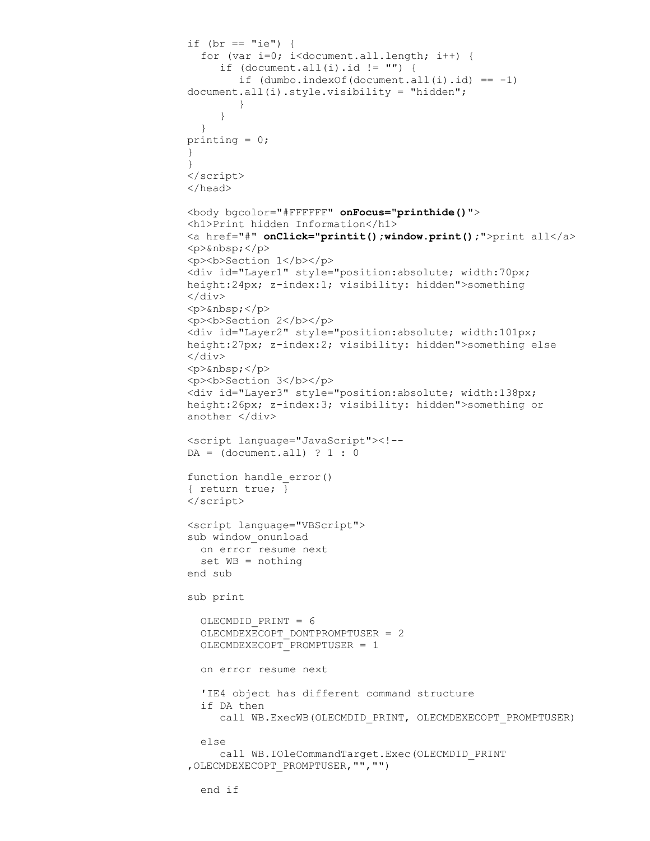```
if (br == "ie") {
  for (var i=0; i<document.all.length; i++) {
     if (document.all(i).id != "") {
        if (dumbo.indexOf(document.all(i).id) == -1)document.all(i).style.visibility = "hidden";
        }
     }
  }
printing = 0;
}
}
</script>
</head>
<body bgcolor="#FFFFFF" onFocus="printhide()">
<h1>Print hidden Information</h1>
<a href="#" onClick="printit();window.print();">print all</a>
<p> </p>
<p><br />b>Section 1</b></p>
<div id="Layer1" style="position:absolute; width:70px; 
height:24px; z-index:1; visibility: hidden">something 
\langle div>
<p> </p><p><br />b>Section 2</b></p>
<div id="Layer2" style="position:absolute; width:101px; 
height:27px; z-index:2; visibility: hidden">something else 
\langlediv\rangle<p>&nbsp;</p>
<p><br />b>Section 3</b></p>
<div id="Layer3" style="position:absolute; width:138px; 
height:26px; z-index:3; visibility: hidden">something or 
another </div>
<script language="JavaScript"><!--
DA = (document.all) ? 1 : 0function handle_error()
{ return true; }
</script>
<script language="VBScript">
sub window_onunload
 on error resume next
 set WB = nothing
end sub
sub print
  OLECMDID_PRINT = 6
  OLECMDEXECOPT_DONTPROMPTUSER = 2
  OLECMDEXECOPT_PROMPTUSER = 1
  on error resume next
  'IE4 object has different command structure
  if DA then
     call WB.ExecWB(OLECMDID_PRINT, OLECMDEXECOPT_PROMPTUSER)
  else
      call WB.IOleCommandTarget.Exec(OLECMDID_PRINT 
,OLECMDEXECOPT_PROMPTUSER,"","")
  end if
```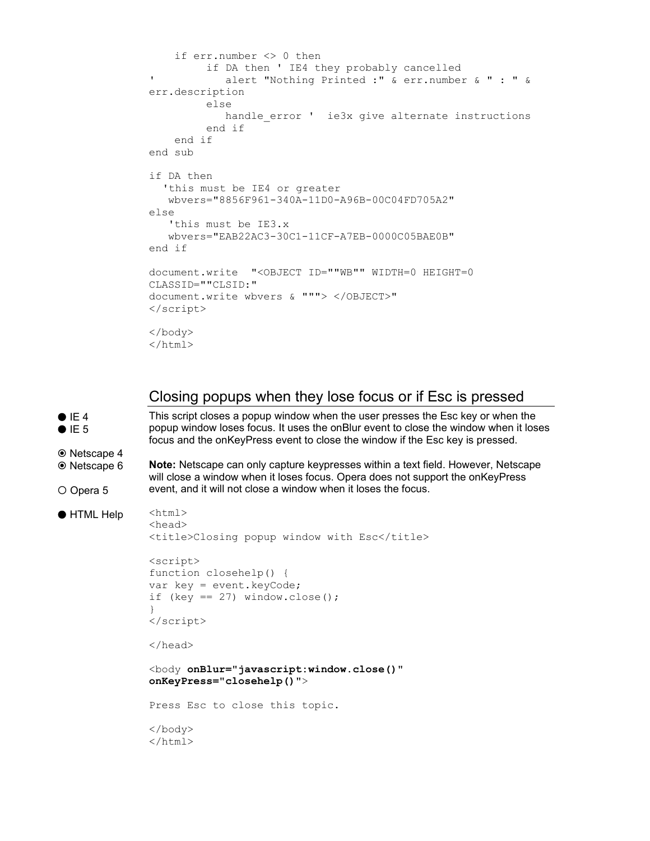```
 if err.number <> 0 then
          if DA then ' IE4 they probably cancelled
' alert "Nothing Printed :" & err.number & " : " & 
err.description
          else
            handle error ' ie3x give alternate instructions
          end if
     end if
end sub
if DA then
  'this must be IE4 or greater
   wbvers="8856F961-340A-11D0-A96B-00C04FD705A2"
else
    'this must be IE3.x
    wbvers="EAB22AC3-30C1-11CF-A7EB-0000C05BAE0B"
end if
document.write "<OBJECT ID=""WB"" WIDTH=0 HEIGHT=0 
CLASSID=""CLSID:"
document.write wbvers & """> </OBJECT>"
</script>
</body>
</html>
```
#### Closing popups when they lose focus or if Esc is pressed

```
\bullet IE 4
I = 5
■ Netscape 4
 Netscape 6
O Opera 5
● HTML Help
                 This script closes a popup window when the user presses the Esc key or when the 
                 popup window loses focus. It uses the onBlur event to close the window when it loses 
                 focus and the onKeyPress event to close the window if the Esc key is pressed. 
                 Note: Netscape can only capture keypresses within a text field. However, Netscape 
                 will close a window when it loses focus. Opera does not support the onKeyPress 
                 event, and it will not close a window when it loses the focus.
                 <html>
                 <head>
                 <title>Closing popup window with Esc</title>
                 <script>
                 function closehelp() {
                 var key = event.keyCode;
                 if (key == 27) window.close();
                 }
                 </script>
                 </head>
                 <body onBlur="javascript:window.close()" 
                 onKeyPress="closehelp()">
                 Press Esc to close this topic.
                 </body>
                 </html>
```